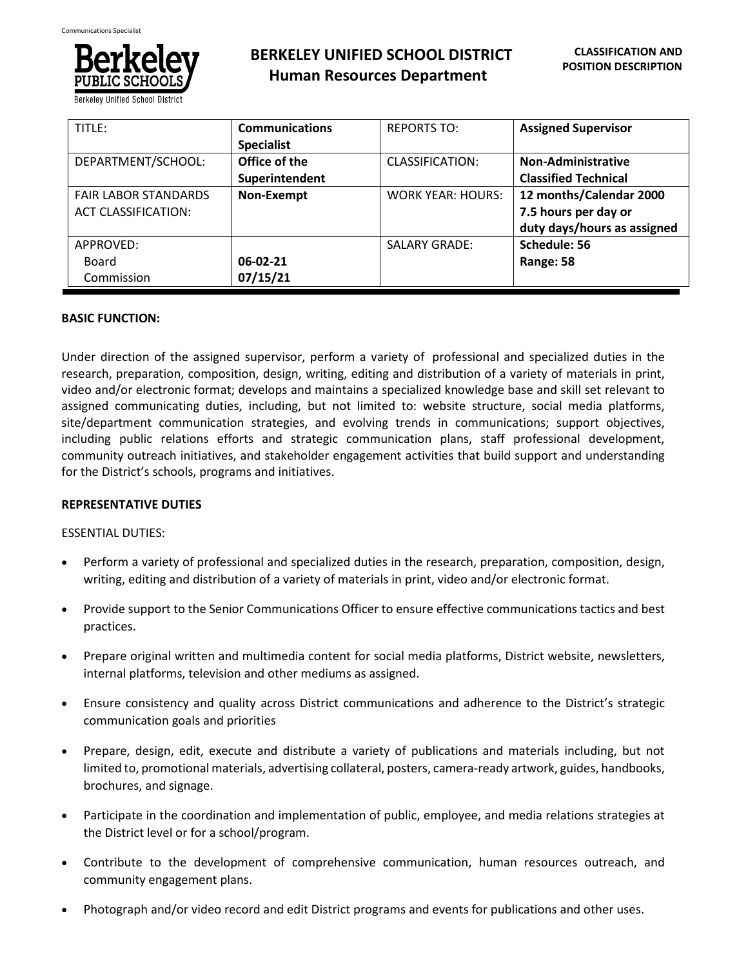

**BERKELEY UNIFIED SCHOOL DISTRICT Human Resources Department**

| TITLE:                      | <b>Communications</b> | <b>REPORTS TO:</b>       | <b>Assigned Supervisor</b>  |
|-----------------------------|-----------------------|--------------------------|-----------------------------|
|                             | <b>Specialist</b>     |                          |                             |
| DEPARTMENT/SCHOOL:          | Office of the         | CLASSIFICATION:          | <b>Non-Administrative</b>   |
|                             | Superintendent        |                          | <b>Classified Technical</b> |
| <b>FAIR LABOR STANDARDS</b> | Non-Exempt            | <b>WORK YEAR: HOURS:</b> | 12 months/Calendar 2000     |
| <b>ACT CLASSIFICATION:</b>  |                       |                          | 7.5 hours per day or        |
|                             |                       |                          | duty days/hours as assigned |
| APPROVED:                   |                       | <b>SALARY GRADE:</b>     | Schedule: 56                |
| Board                       | 06-02-21              |                          | Range: 58                   |
| Commission                  | 07/15/21              |                          |                             |

# **BASIC FUNCTION:**

Under direction of the assigned supervisor, perform a variety of professional and specialized duties in the research, preparation, composition, design, writing, editing and distribution of a variety of materials in print, video and/or electronic format; develops and maintains a specialized knowledge base and skill set relevant to assigned communicating duties, including, but not limited to: website structure, social media platforms, site/department communication strategies, and evolving trends in communications; support objectives, including public relations efforts and strategic communication plans, staff professional development, community outreach initiatives, and stakeholder engagement activities that build support and understanding for the District's schools, programs and initiatives.

# **REPRESENTATIVE DUTIES**

# ESSENTIAL DUTIES:

- Perform a variety of professional and specialized duties in the research, preparation, composition, design, writing, editing and distribution of a variety of materials in print, video and/or electronic format.
- Provide support to the Senior Communications Officer to ensure effective communications tactics and best practices.
- Prepare original written and multimedia content for social media platforms, District website, newsletters, internal platforms, television and other mediums as assigned.
- Ensure consistency and quality across District communications and adherence to the District's strategic communication goals and priorities
- Prepare, design, edit, execute and distribute a variety of publications and materials including, but not limited to, promotional materials, advertising collateral, posters, camera-ready artwork, guides, handbooks, brochures, and signage.
- Participate in the coordination and implementation of public, employee, and media relations strategies at the District level or for a school/program.
- Contribute to the development of comprehensive communication, human resources outreach, and community engagement plans.
- Photograph and/or video record and edit District programs and events for publications and other uses.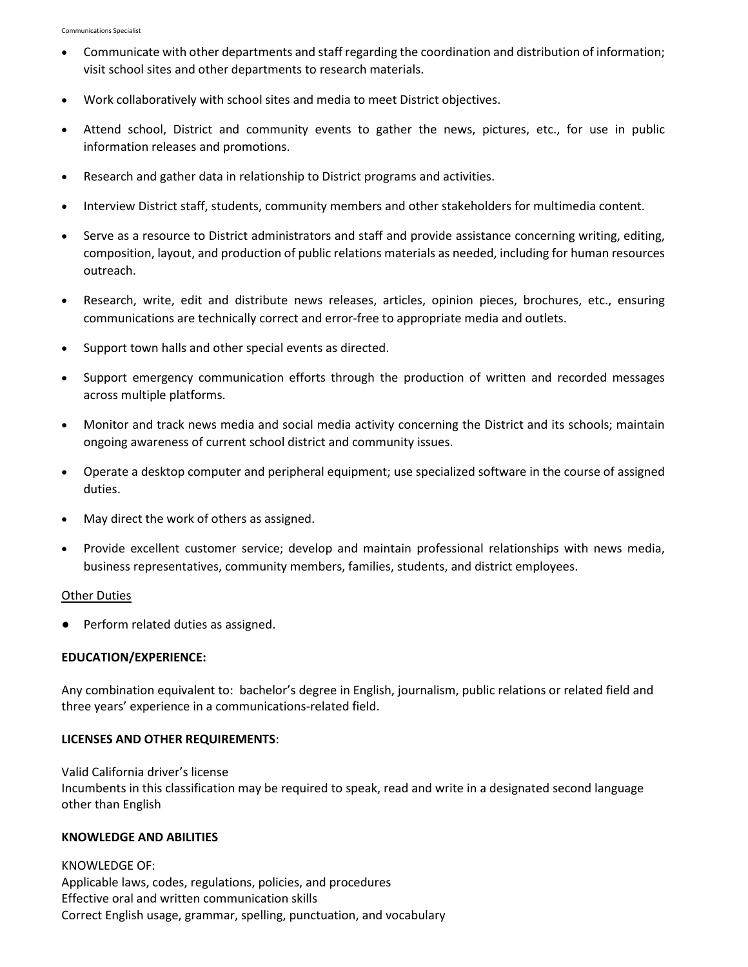- Communicate with other departments and staff regarding the coordination and distribution of information; visit school sites and other departments to research materials.
- Work collaboratively with school sites and media to meet District objectives.
- Attend school, District and community events to gather the news, pictures, etc., for use in public information releases and promotions.
- Research and gather data in relationship to District programs and activities.
- Interview District staff, students, community members and other stakeholders for multimedia content.
- Serve as a resource to District administrators and staff and provide assistance concerning writing, editing, composition, layout, and production of public relations materials as needed, including for human resources outreach.
- Research, write, edit and distribute news releases, articles, opinion pieces, brochures, etc., ensuring communications are technically correct and error-free to appropriate media and outlets.
- Support town halls and other special events as directed.
- Support emergency communication efforts through the production of written and recorded messages across multiple platforms.
- Monitor and track news media and social media activity concerning the District and its schools; maintain ongoing awareness of current school district and community issues.
- Operate a desktop computer and peripheral equipment; use specialized software in the course of assigned duties.
- May direct the work of others as assigned.
- Provide excellent customer service; develop and maintain professional relationships with news media, business representatives, community members, families, students, and district employees.

## Other Duties

● Perform related duties as assigned.

## **EDUCATION/EXPERIENCE:**

Any combination equivalent to: bachelor's degree in English, journalism, public relations or related field and three years' experience in a communications-related field.

## **LICENSES AND OTHER REQUIREMENTS**:

Valid California driver's license Incumbents in this classification may be required to speak, read and write in a designated second language other than English

## **KNOWLEDGE AND ABILITIES**

KNOWLEDGE OF: Applicable laws, codes, regulations, policies, and procedures Effective oral and written communication skills Correct English usage, grammar, spelling, punctuation, and vocabulary